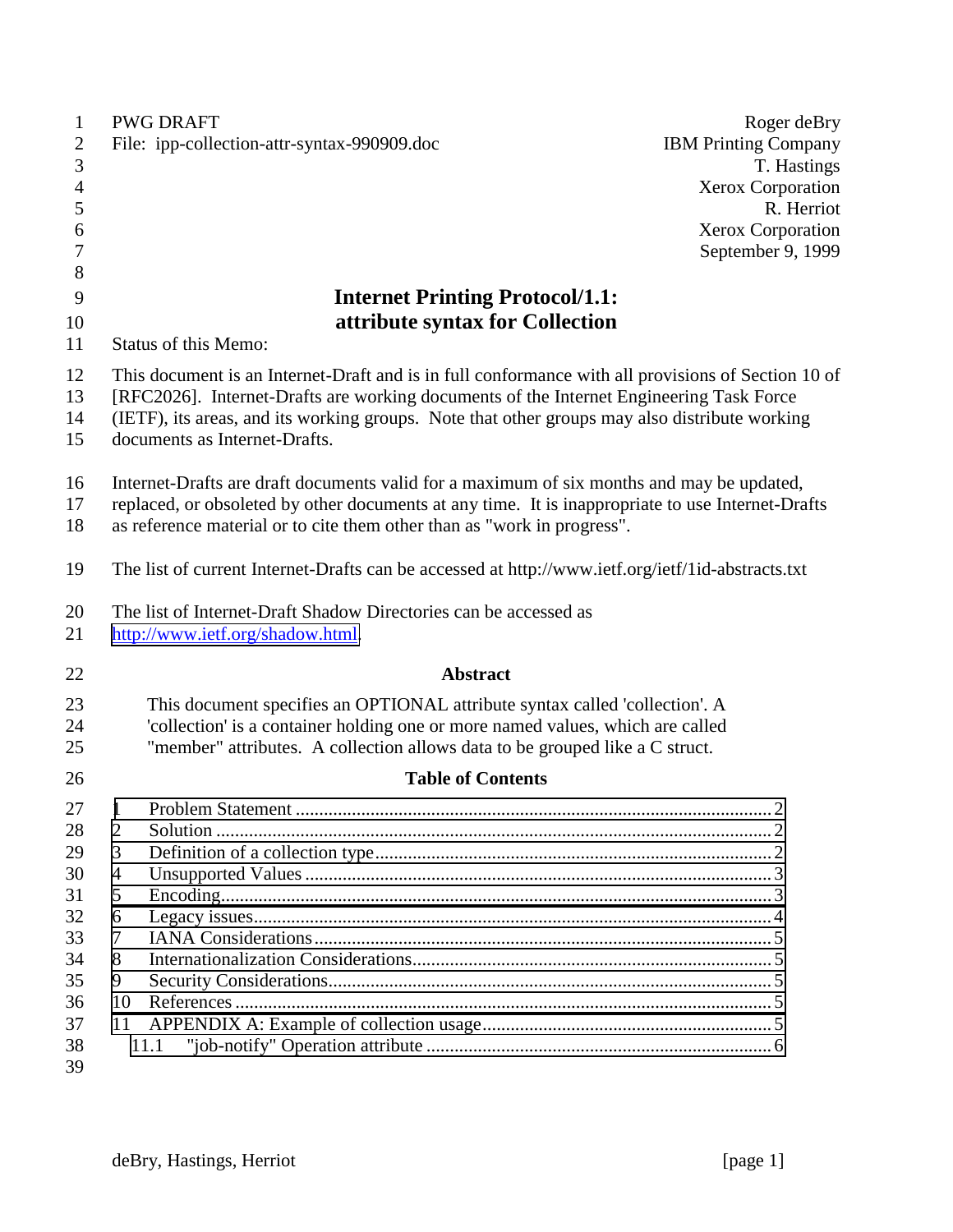| $\mathbf{1}$             |                                                                                                                                                                                                                                                                                                                                 | <b>PWG DRAFT</b>                                                                                                                                              | Roger deBry                 |  |  |
|--------------------------|---------------------------------------------------------------------------------------------------------------------------------------------------------------------------------------------------------------------------------------------------------------------------------------------------------------------------------|---------------------------------------------------------------------------------------------------------------------------------------------------------------|-----------------------------|--|--|
| $\overline{c}$           |                                                                                                                                                                                                                                                                                                                                 | File: ipp-collection-attr-syntax-990909.doc                                                                                                                   | <b>IBM Printing Company</b> |  |  |
| 3                        |                                                                                                                                                                                                                                                                                                                                 |                                                                                                                                                               | T. Hastings                 |  |  |
| $\overline{\mathcal{A}}$ |                                                                                                                                                                                                                                                                                                                                 |                                                                                                                                                               | <b>Xerox Corporation</b>    |  |  |
| 5                        |                                                                                                                                                                                                                                                                                                                                 |                                                                                                                                                               | R. Herriot                  |  |  |
| 6                        |                                                                                                                                                                                                                                                                                                                                 |                                                                                                                                                               | <b>Xerox Corporation</b>    |  |  |
| $\boldsymbol{7}$         |                                                                                                                                                                                                                                                                                                                                 |                                                                                                                                                               | September 9, 1999           |  |  |
| 8                        |                                                                                                                                                                                                                                                                                                                                 |                                                                                                                                                               |                             |  |  |
| 9                        |                                                                                                                                                                                                                                                                                                                                 | <b>Internet Printing Protocol/1.1:</b>                                                                                                                        |                             |  |  |
| 10                       | attribute syntax for Collection                                                                                                                                                                                                                                                                                                 |                                                                                                                                                               |                             |  |  |
| 11                       |                                                                                                                                                                                                                                                                                                                                 | <b>Status of this Memo:</b>                                                                                                                                   |                             |  |  |
| 12<br>13<br>14<br>15     | This document is an Internet-Draft and is in full conformance with all provisions of Section 10 of<br>[RFC2026]. Internet-Drafts are working documents of the Internet Engineering Task Force<br>(IETF), its areas, and its working groups. Note that other groups may also distribute working<br>documents as Internet-Drafts. |                                                                                                                                                               |                             |  |  |
| 16<br>17<br>18           | Internet-Drafts are draft documents valid for a maximum of six months and may be updated,<br>replaced, or obsoleted by other documents at any time. It is inappropriate to use Internet-Drafts                                                                                                                                  |                                                                                                                                                               |                             |  |  |
|                          |                                                                                                                                                                                                                                                                                                                                 | as reference material or to cite them other than as "work in progress".                                                                                       |                             |  |  |
| 19                       |                                                                                                                                                                                                                                                                                                                                 | The list of current Internet-Drafts can be accessed at http://www.ietf.org/ietf/1id-abstracts.txt                                                             |                             |  |  |
| 20<br>21                 |                                                                                                                                                                                                                                                                                                                                 | The list of Internet-Draft Shadow Directories can be accessed as<br>http://www.ietf.org/shadow.html.                                                          |                             |  |  |
| 22                       |                                                                                                                                                                                                                                                                                                                                 | <b>Abstract</b>                                                                                                                                               |                             |  |  |
| 23<br>24                 |                                                                                                                                                                                                                                                                                                                                 | This document specifies an OPTIONAL attribute syntax called 'collection'. A<br>'collection' is a container holding one or more named values, which are called |                             |  |  |
| 25                       |                                                                                                                                                                                                                                                                                                                                 | "member" attributes. A collection allows data to be grouped like a C struct.                                                                                  |                             |  |  |
| 26                       |                                                                                                                                                                                                                                                                                                                                 | <b>Table of Contents</b>                                                                                                                                      |                             |  |  |
| 27                       | 1                                                                                                                                                                                                                                                                                                                               |                                                                                                                                                               | っ                           |  |  |
| 28                       | $\overline{2}$                                                                                                                                                                                                                                                                                                                  |                                                                                                                                                               |                             |  |  |
| 29                       | 3                                                                                                                                                                                                                                                                                                                               |                                                                                                                                                               |                             |  |  |
| 30                       | 4                                                                                                                                                                                                                                                                                                                               |                                                                                                                                                               |                             |  |  |
| 31                       | 5                                                                                                                                                                                                                                                                                                                               |                                                                                                                                                               |                             |  |  |
| 32                       | 6                                                                                                                                                                                                                                                                                                                               |                                                                                                                                                               |                             |  |  |
| 33                       | 7                                                                                                                                                                                                                                                                                                                               |                                                                                                                                                               |                             |  |  |
| 34                       | 8                                                                                                                                                                                                                                                                                                                               |                                                                                                                                                               |                             |  |  |
| 35                       | 9                                                                                                                                                                                                                                                                                                                               |                                                                                                                                                               |                             |  |  |
| 36                       | 10                                                                                                                                                                                                                                                                                                                              |                                                                                                                                                               |                             |  |  |
| 37                       | 11                                                                                                                                                                                                                                                                                                                              |                                                                                                                                                               |                             |  |  |
| 38<br>39                 |                                                                                                                                                                                                                                                                                                                                 | 11.1                                                                                                                                                          |                             |  |  |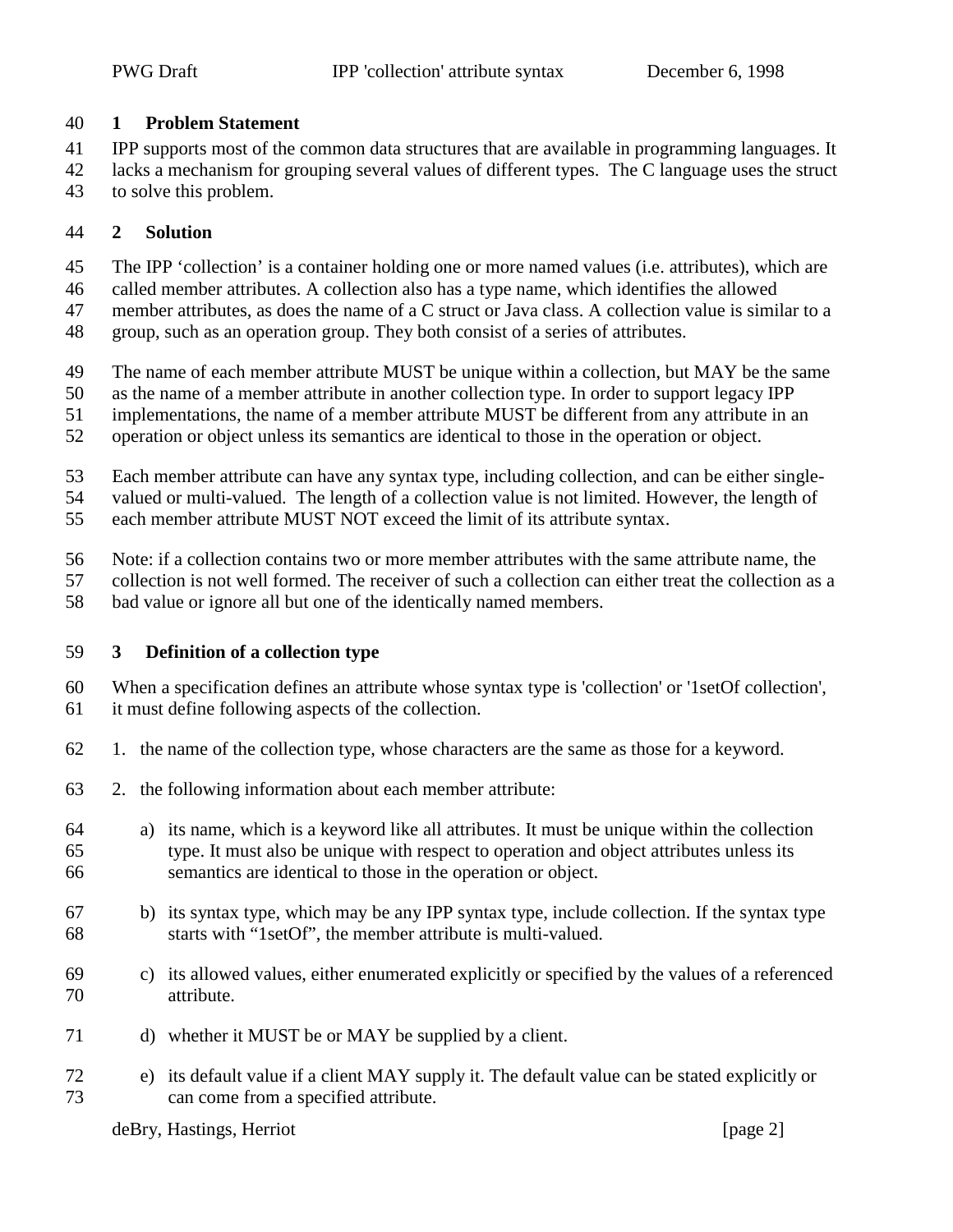#### <span id="page-1-0"></span>**1 Problem Statement**

IPP supports most of the common data structures that are available in programming languages. It

 lacks a mechanism for grouping several values of different types. The C language uses the struct to solve this problem.

# **2 Solution**

The IPP 'collection' is a container holding one or more named values (i.e. attributes), which are

- called member attributes. A collection also has a type name, which identifies the allowed
- member attributes, as does the name of a C struct or Java class. A collection value is similar to a
- group, such as an operation group. They both consist of a series of attributes.
- The name of each member attribute MUST be unique within a collection, but MAY be the same
- as the name of a member attribute in another collection type. In order to support legacy IPP
- implementations, the name of a member attribute MUST be different from any attribute in an
- operation or object unless its semantics are identical to those in the operation or object.
- Each member attribute can have any syntax type, including collection, and can be either single-
- valued or multi-valued. The length of a collection value is not limited. However, the length of
- each member attribute MUST NOT exceed the limit of its attribute syntax.
- Note: if a collection contains two or more member attributes with the same attribute name, the
- collection is not well formed. The receiver of such a collection can either treat the collection as a
- bad value or ignore all but one of the identically named members.

## **3 Definition of a collection type**

- When a specification defines an attribute whose syntax type is 'collection' or '1setOf collection',
- it must define following aspects of the collection.
- 1. the name of the collection type, whose characters are the same as those for a keyword.
- 2. the following information about each member attribute:
- a) its name, which is a keyword like all attributes. It must be unique within the collection type. It must also be unique with respect to operation and object attributes unless its semantics are identical to those in the operation or object.
- b) its syntax type, which may be any IPP syntax type, include collection. If the syntax type starts with "1setOf", the member attribute is multi-valued.
- c) its allowed values, either enumerated explicitly or specified by the values of a referenced attribute.
- d) whether it MUST be or MAY be supplied by a client.
- e) its default value if a client MAY supply it. The default value can be stated explicitly or can come from a specified attribute.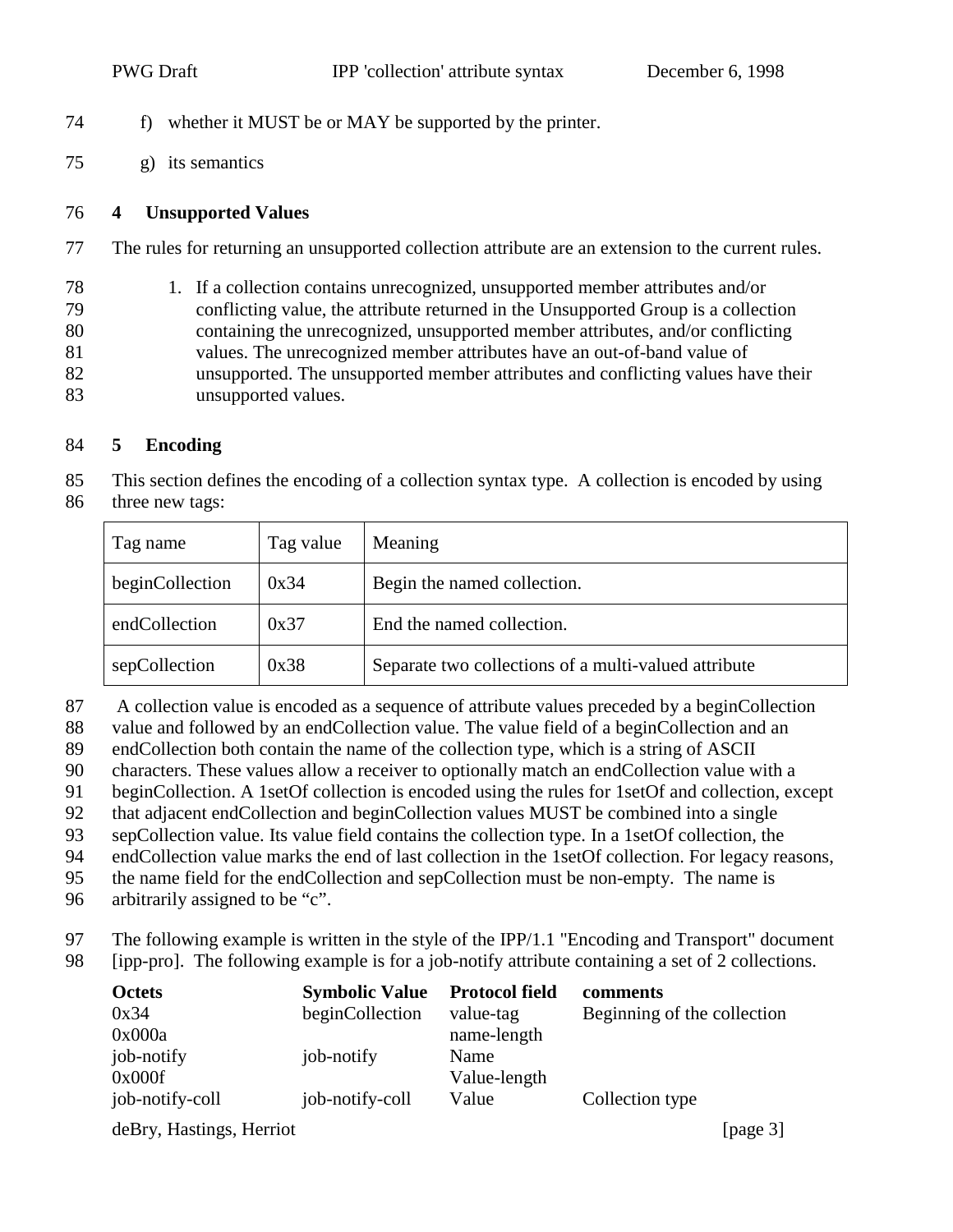- <span id="page-2-0"></span>f) whether it MUST be or MAY be supported by the printer.
- g) its semantics

#### **4 Unsupported Values**

- The rules for returning an unsupported collection attribute are an extension to the current rules.
- 1. If a collection contains unrecognized, unsupported member attributes and/or conflicting value, the attribute returned in the Unsupported Group is a collection containing the unrecognized, unsupported member attributes, and/or conflicting values. The unrecognized member attributes have an out-of-band value of unsupported. The unsupported member attributes and conflicting values have their unsupported values.

#### **5 Encoding**

 This section defines the encoding of a collection syntax type. A collection is encoded by using three new tags:

| Tag name        | Tag value | Meaning                                              |
|-----------------|-----------|------------------------------------------------------|
| beginCollection | 0x34      | Begin the named collection.                          |
| endCollection   | 0x37      | End the named collection.                            |
| sepCollection   | 0x38      | Separate two collections of a multi-valued attribute |

- 87 A collection value is encoded as a sequence of attribute values preceded by a beginCollection
- value and followed by an endCollection value. The value field of a beginCollection and an
- endCollection both contain the name of the collection type, which is a string of ASCII
- characters. These values allow a receiver to optionally match an endCollection value with a
- beginCollection. A 1setOf collection is encoded using the rules for 1setOf and collection, except
- that adjacent endCollection and beginCollection values MUST be combined into a single
- sepCollection value. Its value field contains the collection type. In a 1setOf collection, the
- endCollection value marks the end of last collection in the 1setOf collection. For legacy reasons,
- the name field for the endCollection and sepCollection must be non-empty. The name is
- arbitrarily assigned to be "c".
- The following example is written in the style of the IPP/1.1 "Encoding and Transport" document [ipp-pro]. The following example is for a job-notify attribute containing a set of 2 collections.

| <b>Octets</b><br>0x34     | <b>Symbolic Value</b><br>beginCollection | <b>Protocol field</b><br>value-tag | comments<br>Beginning of the collection |
|---------------------------|------------------------------------------|------------------------------------|-----------------------------------------|
| 0x000a<br>job-notify      | job-notify                               | name-length<br>Name                |                                         |
| 0x000f<br>job-notify-coll | job-notify-coll                          | Value-length<br>Value              | Collection type                         |

deBry, Hastings, Herriot [page 3]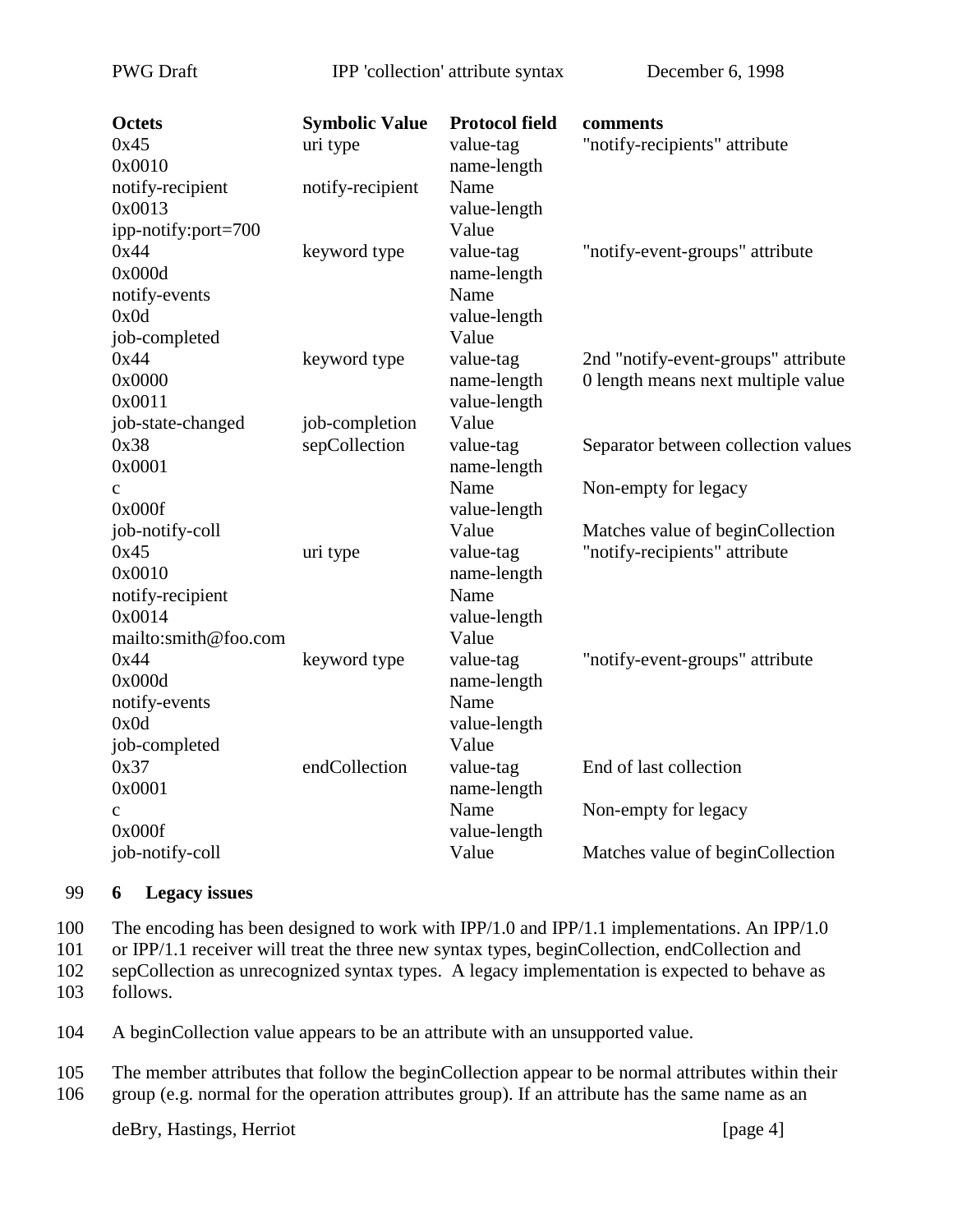<span id="page-3-0"></span>PWG Draft IPP 'collection' attribute syntax December 6, 1998

| <b>Octets</b>        | <b>Symbolic Value</b> | <b>Protocol field</b> | comments                            |
|----------------------|-----------------------|-----------------------|-------------------------------------|
| 0x45                 | uri type              | value-tag             | "notify-recipients" attribute       |
| 0x0010               |                       | name-length           |                                     |
| notify-recipient     | notify-recipient      | Name                  |                                     |
| 0x0013               |                       | value-length          |                                     |
| ipp-notify:port=700  |                       | Value                 |                                     |
| 0x44                 | keyword type          | value-tag             | "notify-event-groups" attribute     |
| 0x000d               |                       | name-length           |                                     |
| notify-events        |                       | Name                  |                                     |
| 0x0d                 |                       | value-length          |                                     |
| job-completed        |                       | Value                 |                                     |
| 0x44                 | keyword type          | value-tag             | 2nd "notify-event-groups" attribute |
| 0x0000               |                       | name-length           | 0 length means next multiple value  |
| 0x0011               |                       | value-length          |                                     |
| job-state-changed    | job-completion        | Value                 |                                     |
| 0x38                 | sepCollection         | value-tag             | Separator between collection values |
| 0x0001               |                       | name-length           |                                     |
| $\mathbf{C}$         |                       | Name                  | Non-empty for legacy                |
| 0x000f               |                       | value-length          |                                     |
| job-notify-coll      |                       | Value                 | Matches value of beginCollection    |
| 0x45                 | uri type              | value-tag             | "notify-recipients" attribute       |
| 0x0010               |                       | name-length           |                                     |
| notify-recipient     |                       | Name                  |                                     |
| 0x0014               |                       | value-length          |                                     |
| mailto:smith@foo.com |                       | Value                 |                                     |
| 0x44                 | keyword type          | value-tag             | "notify-event-groups" attribute     |
| 0x000d               |                       | name-length           |                                     |
| notify-events        |                       | Name                  |                                     |
| 0x0d                 |                       | value-length          |                                     |
| job-completed        |                       | Value                 |                                     |
| 0x37                 | endCollection         | value-tag             | End of last collection              |
| 0x0001               |                       | name-length           |                                     |
| $\mathbf{C}$         |                       | Name                  | Non-empty for legacy                |
| 0x000f               |                       | value-length          |                                     |
| job-notify-coll      |                       | Value                 | Matches value of beginCollection    |
|                      |                       |                       |                                     |

#### 99 **6 Legacy issues**

100 The encoding has been designed to work with IPP/1.0 and IPP/1.1 implementations. An IPP/1.0

101 or IPP/1.1 receiver will treat the three new syntax types, beginCollection, endCollection and

102 sepCollection as unrecognized syntax types. A legacy implementation is expected to behave as

103 follows.

104 A beginCollection value appears to be an attribute with an unsupported value.

105 The member attributes that follow the beginCollection appear to be normal attributes within their 106 group (e.g. normal for the operation attributes group). If an attribute has the same name as an

deBry, Hastings, Herriot [page 4]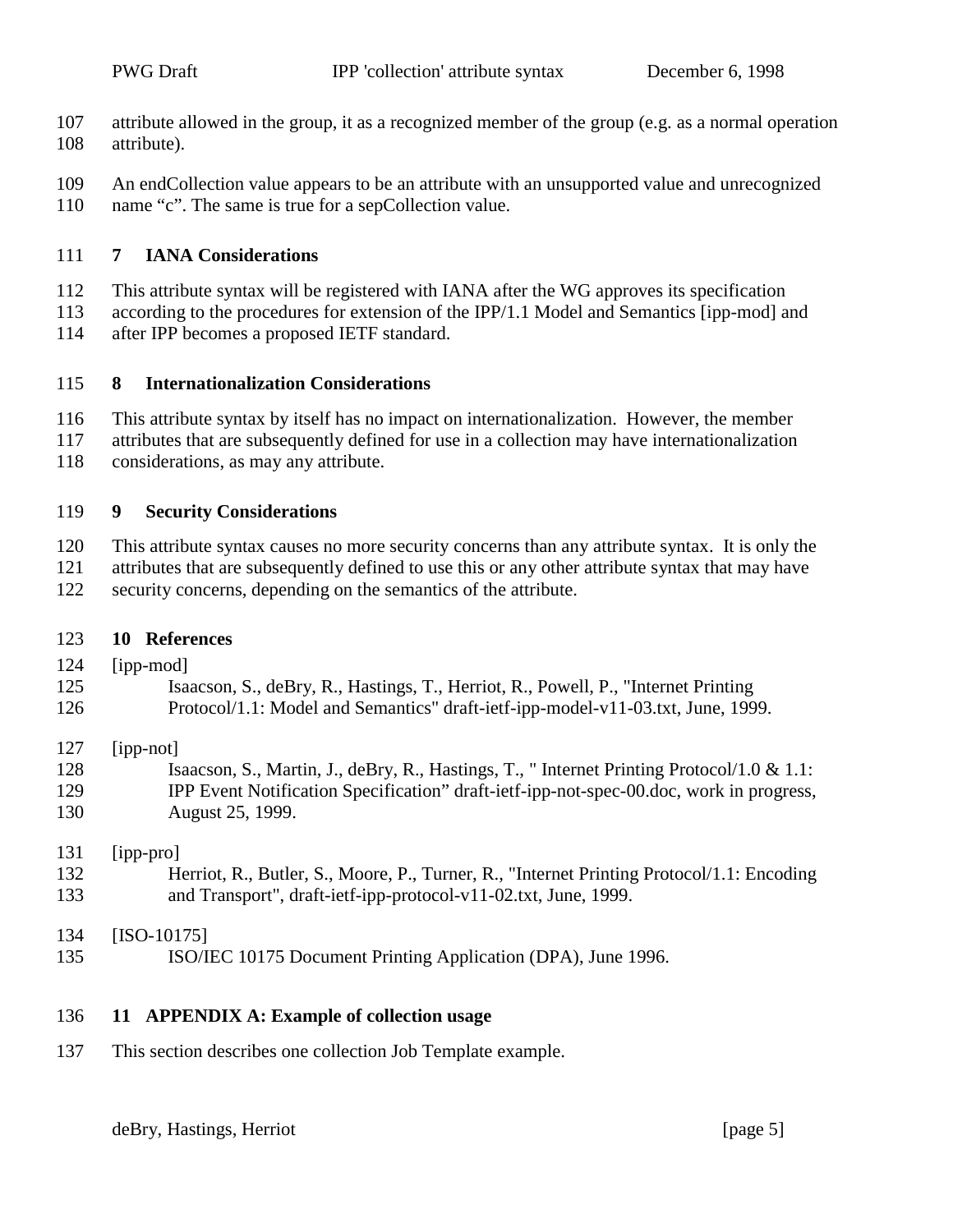- <span id="page-4-0"></span> attribute allowed in the group, it as a recognized member of the group (e.g. as a normal operation attribute).
- An endCollection value appears to be an attribute with an unsupported value and unrecognized
- 110 name "c". The same is true for a sepCollection value.

## **7 IANA Considerations**

- This attribute syntax will be registered with IANA after the WG approves its specification
- according to the procedures for extension of the IPP/1.1 Model and Semantics [ipp-mod] and
- after IPP becomes a proposed IETF standard.

## **8 Internationalization Considerations**

- This attribute syntax by itself has no impact on internationalization. However, the member
- attributes that are subsequently defined for use in a collection may have internationalization
- considerations, as may any attribute.

# **9 Security Considerations**

- This attribute syntax causes no more security concerns than any attribute syntax. It is only the attributes that are subsequently defined to use this or any other attribute syntax that may have
- security concerns, depending on the semantics of the attribute.

## **10 References**

- [ipp-mod]
- Isaacson, S., deBry, R., Hastings, T., Herriot, R., Powell, P., "Internet Printing
- Protocol/1.1: Model and Semantics" draft-ietf-ipp-model-v11-03.txt, June, 1999.

## [ipp-not]

 Isaacson, S., Martin, J., deBry, R., Hastings, T., " Internet Printing Protocol/1.0 & 1.1: IPP Event Notification Specification" draft-ietf-ipp-not-spec-00.doc, work in progress, August 25, 1999.

## [ipp-pro]

- Herriot, R., Butler, S., Moore, P., Turner, R., "Internet Printing Protocol/1.1: Encoding and Transport", draft-ietf-ipp-protocol-v11-02.txt, June, 1999.
- [ISO-10175] ISO/IEC 10175 Document Printing Application (DPA), June 1996.

## **11 APPENDIX A: Example of collection usage**

This section describes one collection Job Template example.